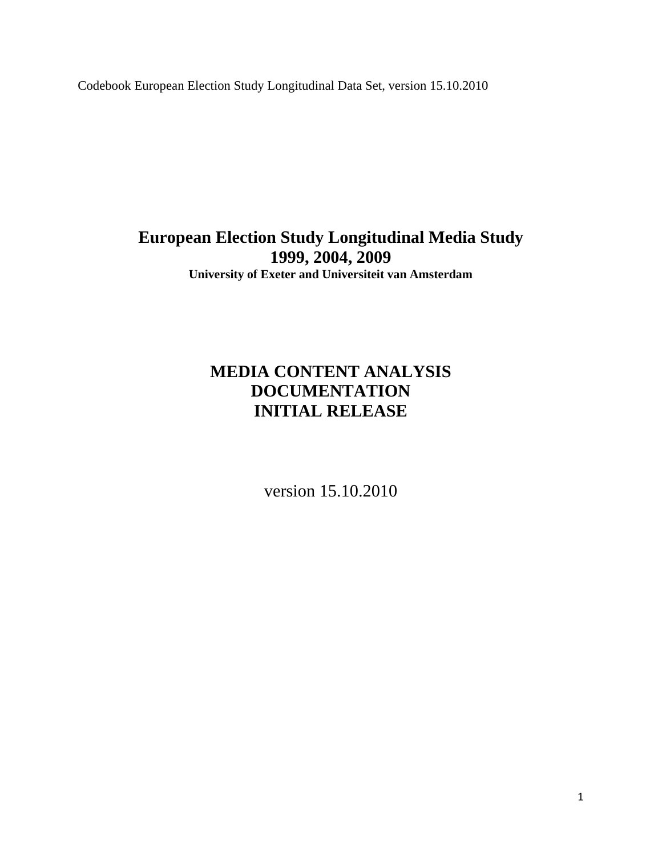Codebook European Election Study Longitudinal Data Set, version 15.10.2010

**European Election Study Longitudinal Media Study 1999, 2004, 2009 University of Exeter and Universiteit van Amsterdam** 

# **MEDIA CONTENT ANALYSIS DOCUMENTATION INITIAL RELEASE**

version 15.10.2010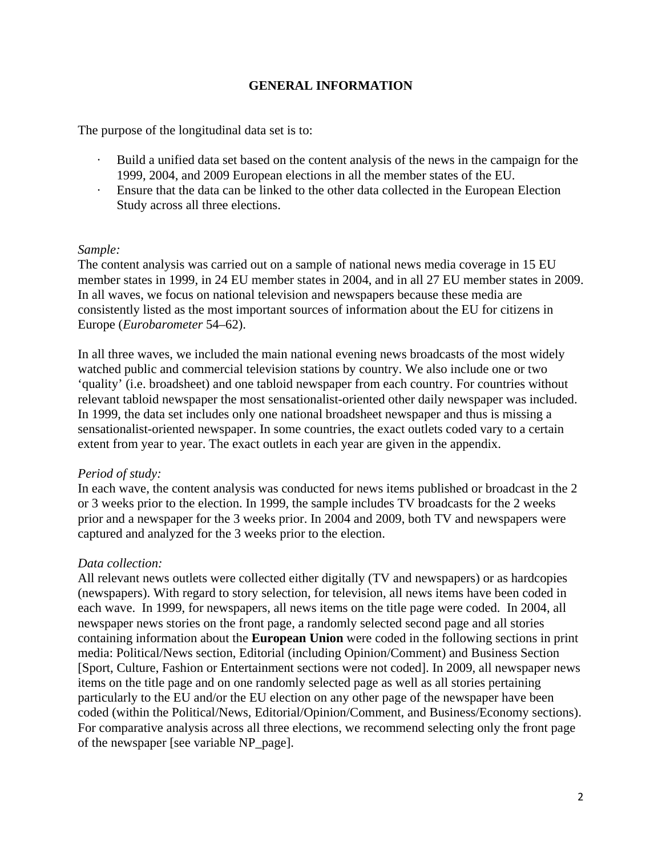# **GENERAL INFORMATION**

The purpose of the longitudinal data set is to:

- · Build a unified data set based on the content analysis of the news in the campaign for the 1999, 2004, and 2009 European elections in all the member states of the EU.
- · Ensure that the data can be linked to the other data collected in the European Election Study across all three elections.

## *Sample:*

The content analysis was carried out on a sample of national news media coverage in 15 EU member states in 1999, in 24 EU member states in 2004, and in all 27 EU member states in 2009. In all waves, we focus on national television and newspapers because these media are consistently listed as the most important sources of information about the EU for citizens in Europe (*Eurobarometer* 54–62).

In all three waves, we included the main national evening news broadcasts of the most widely watched public and commercial television stations by country. We also include one or two 'quality' (i.e. broadsheet) and one tabloid newspaper from each country. For countries without relevant tabloid newspaper the most sensationalist-oriented other daily newspaper was included. In 1999, the data set includes only one national broadsheet newspaper and thus is missing a sensationalist-oriented newspaper. In some countries, the exact outlets coded vary to a certain extent from year to year. The exact outlets in each year are given in the appendix.

## *Period of study:*

In each wave, the content analysis was conducted for news items published or broadcast in the 2 or 3 weeks prior to the election. In 1999, the sample includes TV broadcasts for the 2 weeks prior and a newspaper for the 3 weeks prior. In 2004 and 2009, both TV and newspapers were captured and analyzed for the 3 weeks prior to the election.

## *Data collection:*

All relevant news outlets were collected either digitally (TV and newspapers) or as hardcopies (newspapers). With regard to story selection, for television, all news items have been coded in each wave. In 1999, for newspapers, all news items on the title page were coded. In 2004, all newspaper news stories on the front page, a randomly selected second page and all stories containing information about the **European Union** were coded in the following sections in print media: Political/News section, Editorial (including Opinion/Comment) and Business Section [Sport, Culture, Fashion or Entertainment sections were not coded]. In 2009, all newspaper news items on the title page and on one randomly selected page as well as all stories pertaining particularly to the EU and/or the EU election on any other page of the newspaper have been coded (within the Political/News, Editorial/Opinion/Comment, and Business/Economy sections). For comparative analysis across all three elections, we recommend selecting only the front page of the newspaper [see variable NP\_page].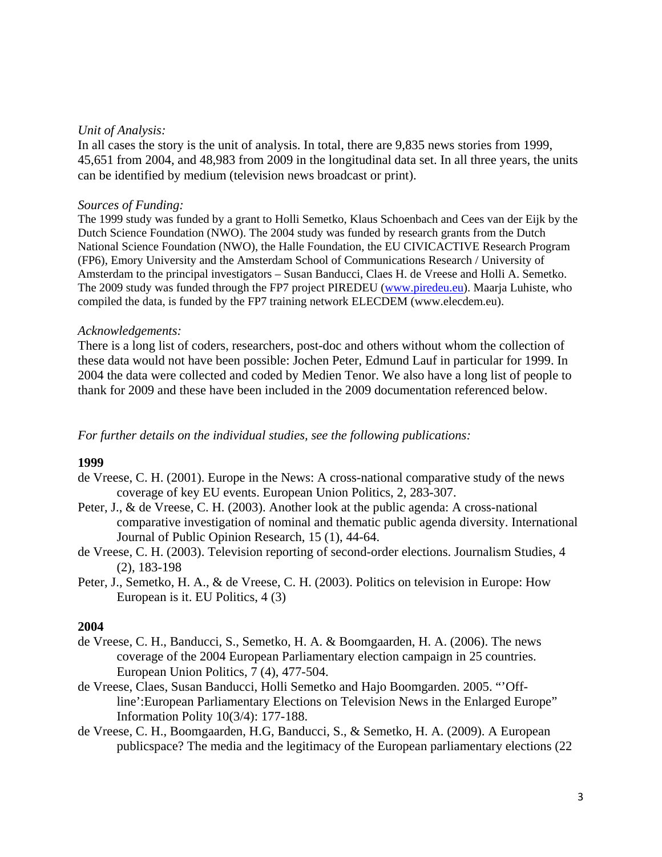#### *Unit of Analysis:*

In all cases the story is the unit of analysis. In total, there are 9,835 news stories from 1999, 45,651 from 2004, and 48,983 from 2009 in the longitudinal data set. In all three years, the units can be identified by medium (television news broadcast or print).

#### *Sources of Funding:*

The 1999 study was funded by a grant to Holli Semetko, Klaus Schoenbach and Cees van der Eijk by the Dutch Science Foundation (NWO). The 2004 study was funded by research grants from the Dutch National Science Foundation (NWO), the Halle Foundation, the EU CIVICACTIVE Research Program (FP6), Emory University and the Amsterdam School of Communications Research / University of Amsterdam to the principal investigators – Susan Banducci, Claes H. de Vreese and Holli A. Semetko. The 2009 study was funded through the FP7 project PIREDEU [\(www.piredeu.eu\)](http://www.piredeu.eu/). Maarja Luhiste, who compiled the data, is funded by the FP7 training network ELECDEM (www.elecdem.eu).

#### *Acknowledgements:*

There is a long list of coders, researchers, post-doc and others without whom the collection of these data would not have been possible: Jochen Peter, Edmund Lauf in particular for 1999. In 2004 the data were collected and coded by Medien Tenor. We also have a long list of people to thank for 2009 and these have been included in the 2009 documentation referenced below.

## *For further details on the individual studies, see the following publications:*

## **1999**

- de Vreese, C. H. (2001). Europe in the News: A cross-national comparative study of the news coverage of key EU events. European Union Politics, 2, 283-307.
- Peter, J., & de Vreese, C. H. (2003). Another look at the public agenda: A cross-national comparative investigation of nominal and thematic public agenda diversity. International Journal of Public Opinion Research, 15 (1), 44-64.
- de Vreese, C. H. (2003). Television reporting of second-order elections. Journalism Studies, 4 (2), 183-198
- Peter, J., Semetko, H. A., & de Vreese, C. H. (2003). Politics on television in Europe: How European is it. EU Politics, 4 (3)

## **2004**

- de Vreese, C. H., Banducci, S., Semetko, H. A. & Boomgaarden, H. A. (2006). The news coverage of the 2004 European Parliamentary election campaign in 25 countries. European Union Politics, 7 (4), 477-504.
- de Vreese, Claes, Susan Banducci, Holli Semetko and Hajo Boomgarden. 2005. "'Offline':European Parliamentary Elections on Television News in the Enlarged Europe" Information Polity 10(3/4): 177-188.
- de Vreese, C. H., Boomgaarden, H.G, Banducci, S., & Semetko, H. A. (2009). A European publicspace? The media and the legitimacy of the European parliamentary elections (22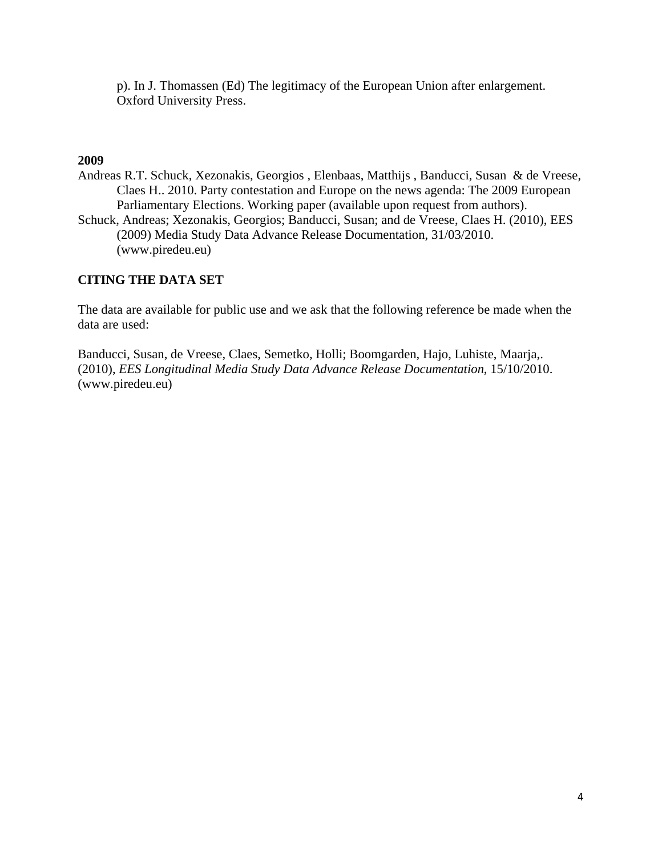p). In J. Thomassen (Ed) The legitimacy of the European Union after enlargement. Oxford University Press.

# **2009**

- Andreas R.T. Schuck, Xezonakis, Georgios , Elenbaas, Matthijs , Banducci, Susan & de Vreese, Claes H.. 2010. Party contestation and Europe on the news agenda: The 2009 European Parliamentary Elections. Working paper (available upon request from authors).
- Schuck, Andreas; Xezonakis, Georgios; Banducci, Susan; and de Vreese, Claes H. (2010), EES (2009) Media Study Data Advance Release Documentation, 31/03/2010. (www.piredeu.eu)

# **CITING THE DATA SET**

The data are available for public use and we ask that the following reference be made when the data are used:

Banducci, Susan, de Vreese, Claes, Semetko, Holli; Boomgarden, Hajo, Luhiste, Maarja,. (2010), *EES Longitudinal Media Study Data Advance Release Documentation*, 15/10/2010. (www.piredeu.eu)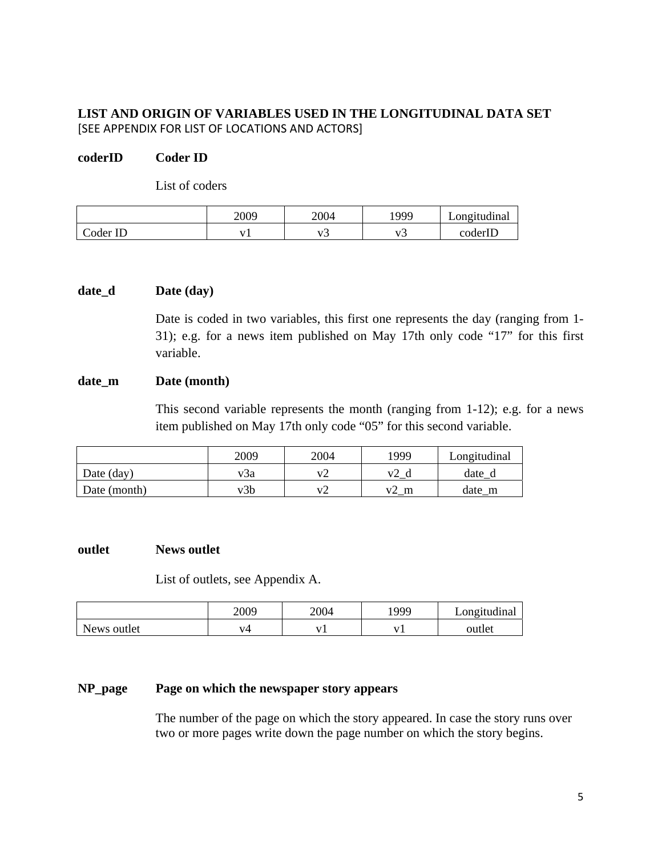# **LIST AND ORIGIN OF VARIABLES USED IN THE LONGITUDINAL DATA SET**  [SEE APPENDIX FOR LIST OF LOCATIONS AND ACTORS]

# **coderID Coder ID**

List of coders

|          | 2009 | 2004 | 1999 | Longitudinal |
|----------|------|------|------|--------------|
| Coder ID |      | ~    | ~    | coderID      |

## **date\_d Date (day)**

Date is coded in two variables, this first one represents the day (ranging from 1- 31); e.g. for a news item published on May 17th only code "17" for this first variable.

#### date m Date (month)

This second variable represents the month (ranging from 1-12); e.g. for a news item published on May 17th only code "05" for this second variable.

|              | 2009 | 2004              | 1999 | Longitudinal |
|--------------|------|-------------------|------|--------------|
| Date (day)   | v3a  | $V_{\mathcal{L}}$ |      | date         |
| Date (month) | v3b  |                   | m    | date m       |

#### **outlet News outlet**

List of outlets, see Appendix A.

|             | 2009 | 2004 | 999 | Longitudinal |
|-------------|------|------|-----|--------------|
| News outlet | V4   |      |     | outlet       |

## **NP\_page Page on which the newspaper story appears**

The number of the page on which the story appeared. In case the story runs over two or more pages write down the page number on which the story begins.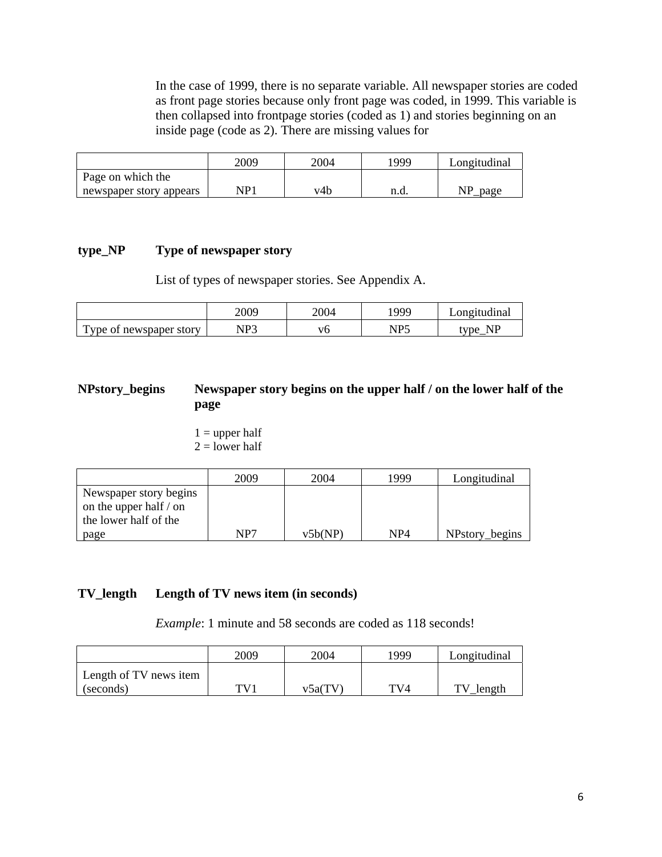In the case of 1999, there is no separate variable. All newspaper stories are coded as front page stories because only front page was coded, in 1999. This variable is then collapsed into frontpage stories (coded as 1) and stories beginning on an inside page (code as 2). There are missing values for

|                         | 2009 | 2004 | '999' | Longitudinal |
|-------------------------|------|------|-------|--------------|
| Page on which the       |      |      |       |              |
| newspaper story appears | NP1  | v4b  | n.d.  | page         |

## **type\_NP Type of newspaper story**

List of types of newspaper stories. See Appendix A.

|                        | 2009         | 2004 | 999                         | ∟ongitudinal |
|------------------------|--------------|------|-----------------------------|--------------|
| m                      | ND2          |      | $N\mathbf{D}^{\mathcal{L}}$ | ND           |
| vpe of newspaper story | $\mathbf{u}$ |      | $\sim 10$                   | tvne.        |

# **NPstory\_begins Newspaper story begins on the upper half / on the lower half of the page**

 $1 =$  upper half  $2 =$  lower half

|                        | 2009 | 2004    | 1999            | Longitudinal   |
|------------------------|------|---------|-----------------|----------------|
| Newspaper story begins |      |         |                 |                |
| on the upper half / on |      |         |                 |                |
| the lower half of the  |      |         |                 |                |
| page                   | NP7  | v5b(NP) | NP <sub>4</sub> | NPstory_begins |

## **TV\_length Length of TV news item (in seconds)**

*Example*: 1 minute and 58 seconds are coded as 118 seconds!

|                        | 2009 | 2004    | 1999 | Longitudinal |
|------------------------|------|---------|------|--------------|
| Length of TV news item |      |         |      |              |
| (seconds)              | TV 1 | v5a(TV) | TV4  | TV<br>length |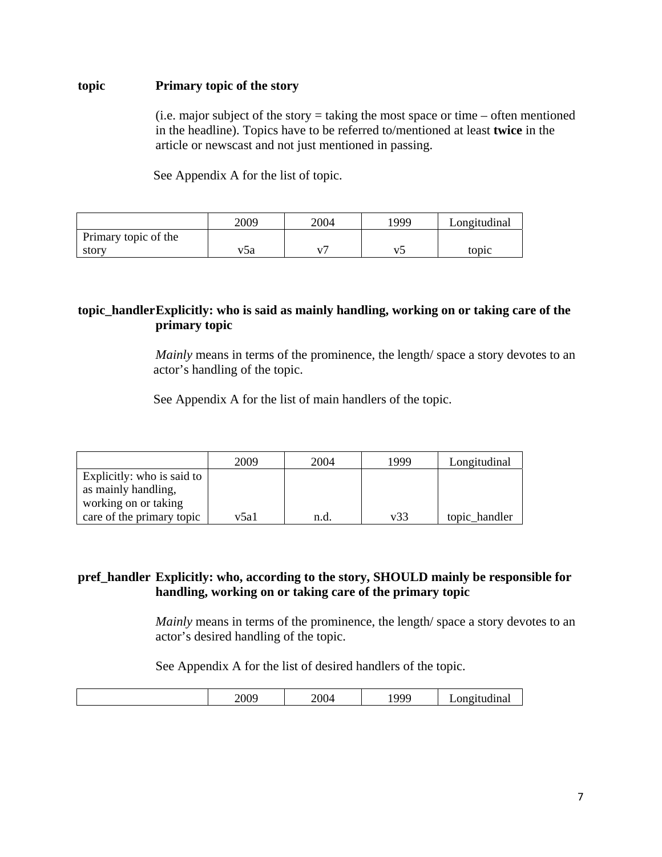## **topic Primary topic of the story**

(i.e. major subject of the story  $=$  taking the most space or time  $-$  often mentioned in the headline). Topics have to be referred to/mentioned at least **twice** in the article or newscast and not just mentioned in passing.

See Appendix A for the list of topic.

|                      | 2009 | 2004 | 1999. | Longitudinal |
|----------------------|------|------|-------|--------------|
| Primary topic of the |      |      |       |              |
| story                | 75a  |      |       | topic        |

# **topic\_handler Explicitly: who is said as mainly handling, working on or taking care of the primary topic**

*Mainly* means in terms of the prominence, the length/ space a story devotes to an actor's handling of the topic.

See Appendix A for the list of main handlers of the topic.

|                            | 2009 | 2004 | 1999 | Longitudinal  |
|----------------------------|------|------|------|---------------|
| Explicitly: who is said to |      |      |      |               |
| as mainly handling,        |      |      |      |               |
| working on or taking       |      |      |      |               |
| care of the primary topic  | v5a1 | n.d. | v33  | topic_handler |

# **pref\_handler Explicitly: who, according to the story, SHOULD mainly be responsible for handling, working on or taking care of the primary topic**

*Mainly* means in terms of the prominence, the length/ space a story devotes to an actor's desired handling of the topic.

See Appendix A for the list of desired handlers of the topic.

|  |  | 2009 | $\sim$ $\sim$<br>)( ) 4<br>$\sim$ . | noo | - |
|--|--|------|-------------------------------------|-----|---|
|--|--|------|-------------------------------------|-----|---|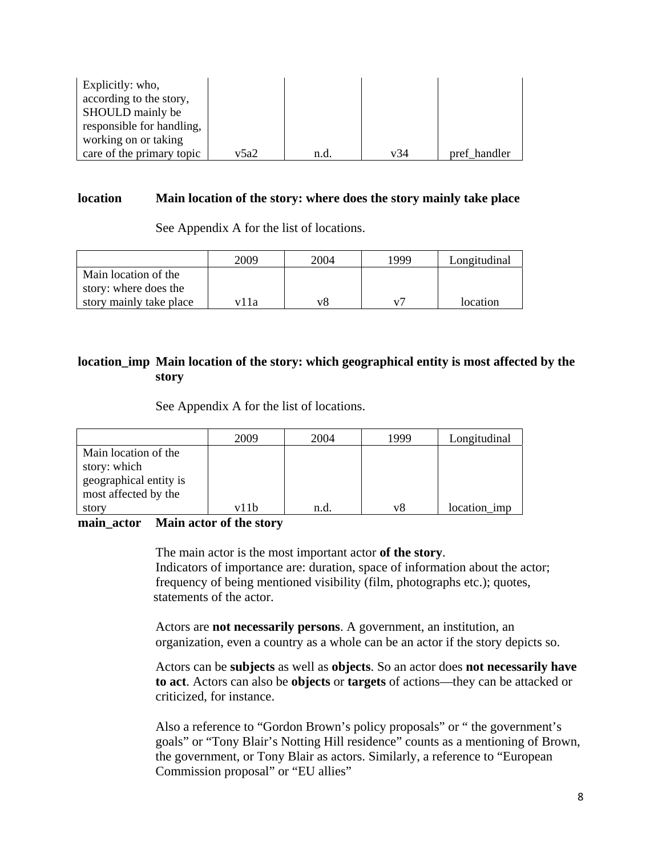| Explicitly: who,          |      |      |     |              |
|---------------------------|------|------|-----|--------------|
| according to the story,   |      |      |     |              |
| SHOULD mainly be          |      |      |     |              |
| responsible for handling, |      |      |     |              |
| working on or taking      |      |      |     |              |
| care of the primary topic | v5a2 | n.d. | v34 | pref handler |

#### **location Main location of the story: where does the story mainly take place**

See Appendix A for the list of locations.

|                                               | 2009 | 2004 | 1999           | Longitudinal |
|-----------------------------------------------|------|------|----------------|--------------|
| Main location of the<br>story: where does the |      |      |                |              |
| story mainly take place                       | vlla | v8   | V <sub>7</sub> | location     |

# **location\_imp Main location of the story: which geographical entity is most affected by the story**

See Appendix A for the list of locations.

|                        | 2009 | 2004 | 1999 | Longitudinal |
|------------------------|------|------|------|--------------|
| Main location of the   |      |      |      |              |
| story: which           |      |      |      |              |
| geographical entity is |      |      |      |              |
| most affected by the   |      |      |      |              |
| story                  | v11b | n.d  | v8   | location imp |

#### **main\_actor Main actor of the story**

 The main actor is the most important actor **of the story**. Indicators of importance are: duration, space of information about the actor; frequency of being mentioned visibility (film, photographs etc.); quotes, statements of the actor.

Actors are **not necessarily persons**. A government, an institution, an organization, even a country as a whole can be an actor if the story depicts so.

Actors can be **subjects** as well as **objects**. So an actor does **not necessarily have to act**. Actors can also be **objects** or **targets** of actions—they can be attacked or criticized, for instance.

Also a reference to "Gordon Brown's policy proposals" or " the government's goals" or "Tony Blair's Notting Hill residence" counts as a mentioning of Brown, the government, or Tony Blair as actors. Similarly, a reference to "European Commission proposal" or "EU allies"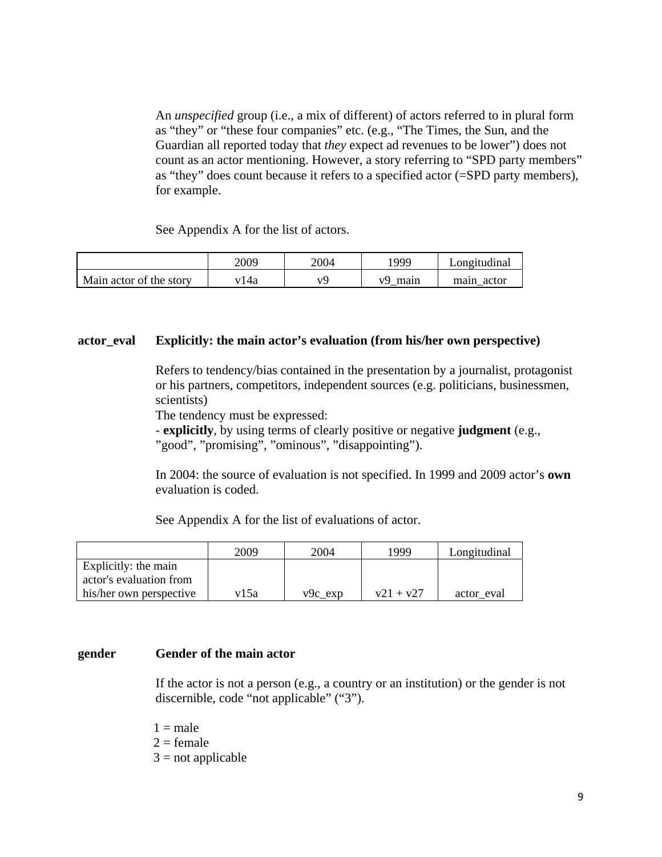An *unspecified* group (i.e., a mix of different) of actors referred to in plural form as "they" or "these four companies" etc. (e.g., "The Times, the Sun, and the Guardian all reported today that *they* expect ad revenues to be lower") does not count as an actor mentioning. However, a story referring to "SPD party members" as "they" does count because it refers to a specified actor (=SPD party members), for example.

See Appendix A for the list of actors.

|                         | 2009 | 2004 | 1999       | ∟ongıtudınal  |
|-------------------------|------|------|------------|---------------|
| Main actor of the story | 4a   | 77L  | v9<br>main | actor<br>main |

#### **actor\_eval Explicitly: the main actor's evaluation (from his/her own perspective)**

Refers to tendency/bias contained in the presentation by a journalist, protagonist or his partners, competitors, independent sources (e.g. politicians, businessmen, scientists)

The tendency must be expressed:

- **explicitly**, by using terms of clearly positive or negative **judgment** (e.g., "good", "promising", "ominous", "disappointing").

In 2004: the source of evaluation is not specified. In 1999 and 2009 actor's **own** evaluation is coded.

See Appendix A for the list of evaluations of actor.

|                         | 2009 | 2004      | 1999        | Longitudinal |
|-------------------------|------|-----------|-------------|--------------|
| Explicitly: the main    |      |           |             |              |
| actor's evaluation from |      |           |             |              |
| his/her own perspective | v15a | $v9c$ exp | $v21 + v27$ | actor eval   |

#### **gender Gender of the main actor**

If the actor is not a person (e.g., a country or an institution) or the gender is not discernible, code "not applicable" ("3").

 $1 = male$ 

 $2 =$  female

 $3 = not applicable$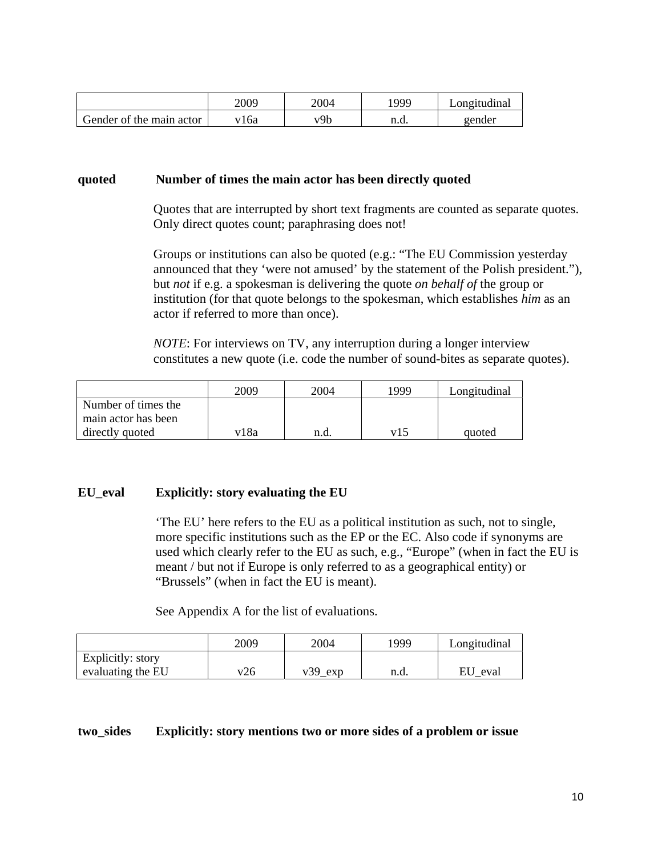|                          | 2009 | 2004 | 999  | .ong1fud1nal |
|--------------------------|------|------|------|--------------|
| Gender of the main actor | .6a  | v9b  | n.a. | gender       |

#### **quoted Number of times the main actor has been directly quoted**

Quotes that are interrupted by short text fragments are counted as separate quotes. Only direct quotes count; paraphrasing does not!

Groups or institutions can also be quoted (e.g.: "The EU Commission yesterday announced that they 'were not amused' by the statement of the Polish president."), but *not* if e.g. a spokesman is delivering the quote *on behalf of* the group or institution (for that quote belongs to the spokesman, which establishes *him* as an actor if referred to more than once).

*NOTE*: For interviews on TV, any interruption during a longer interview constitutes a new quote (i.e. code the number of sound-bites as separate quotes).

|                     | 2009 | 2004 | 1999 | Longitudinal |
|---------------------|------|------|------|--------------|
| Number of times the |      |      |      |              |
| main actor has been |      |      |      |              |
| directly quoted     | v18a | n.d. | v15  | quoted       |

## **EU\_eval Explicitly: story evaluating the EU**

'The EU' here refers to the EU as a political institution as such, not to single, more specific institutions such as the EP or the EC. Also code if synonyms are used which clearly refer to the EU as such, e.g., "Europe" (when in fact the EU is meant / but not if Europe is only referred to as a geographical entity) or "Brussels" (when in fact the EU is meant).

See Appendix A for the list of evaluations.

|                              | 2009 | 2004      | 1999 | Longitudinal |
|------------------------------|------|-----------|------|--------------|
| Explicitly: story            |      |           |      |              |
| $\epsilon$ evaluating the EU | v26  | $v39$ exp | n.d. | ĖU<br>eval   |

#### **two\_sides Explicitly: story mentions two or more sides of a problem or issue**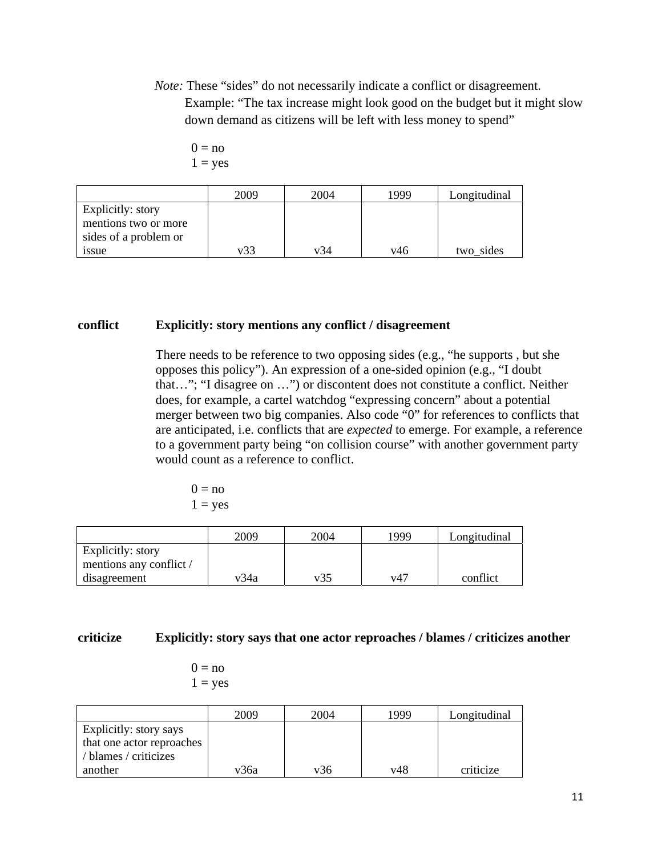*Note:* These "sides" do not necessarily indicate a conflict or disagreement. Example: "The tax increase might look good on the budget but it might slow down demand as citizens will be left with less money to spend"

```
0 = no1 = yes
```

|                       | 2009 | 2004 | 1999 | Longitudinal |
|-----------------------|------|------|------|--------------|
| Explicitly: story     |      |      |      |              |
| mentions two or more  |      |      |      |              |
| sides of a problem or |      |      |      |              |
| 1SSue                 | v33  | v34  | v46  | two sides    |

#### **conflict Explicitly: story mentions any conflict / disagreement**

There needs to be reference to two opposing sides (e.g., "he supports , but she opposes this policy"). An expression of a one-sided opinion (e.g., "I doubt that…"; "I disagree on …") or discontent does not constitute a conflict. Neither does, for example, a cartel watchdog "expressing concern" about a potential merger between two big companies. Also code "0" for references to conflicts that are anticipated, i.e. conflicts that are *expected* to emerge. For example, a reference to a government party being "on collision course" with another government party would count as a reference to conflict.

 $0 = no$  $1 = yes$ 

|                                              | 2009 | 2004 | 1999 | Longitudinal |
|----------------------------------------------|------|------|------|--------------|
| Explicitly: story<br>mentions any conflict / |      |      |      |              |
| disagreement                                 | v34a | v35  | v47  | conflict     |

#### **criticize Explicitly: story says that one actor reproaches / blames / criticizes another**

 $0 = no$  $1 = yes$ 

|                                                                              | 2009 | 2004 | 1999 | Longitudinal |
|------------------------------------------------------------------------------|------|------|------|--------------|
| Explicitly: story says<br>that one actor reproaches<br>/ blames / criticizes |      |      |      |              |
| another                                                                      | v36a | v36  | v48  | criticize    |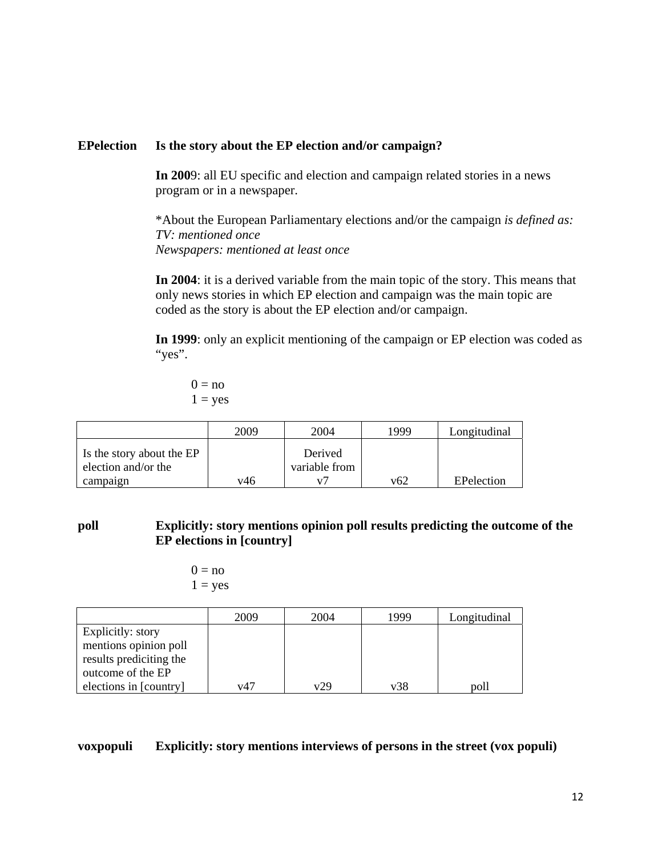## **EPelection Is the story about the EP election and/or campaign?**

**In 200**9: all EU specific and election and campaign related stories in a news program or in a newspaper.

\*About the European Parliamentary elections and/or the campaign *is defined as: TV: mentioned once Newspapers: mentioned at least once* 

**In 2004**: it is a derived variable from the main topic of the story. This means that only news stories in which EP election and campaign was the main topic are coded as the story is about the EP election and/or campaign.

**In 1999**: only an explicit mentioning of the campaign or EP election was coded as "yes".

 $0 = no$  $1 = yes$ 

|                                                  | 2009 | 2004                     | 1999 | Longitudinal |
|--------------------------------------------------|------|--------------------------|------|--------------|
| Is the story about the EP<br>election and/or the |      | Derived<br>variable from |      |              |
| campaign                                         | v46  |                          | v62  | EPelection   |

# **poll Explicitly: story mentions opinion poll results predicting the outcome of the EP elections in [country]**

$$
0 = no
$$
  

$$
1 = yes
$$

|                         | 2009 | 2004 | 1999 | Longitudinal |
|-------------------------|------|------|------|--------------|
| Explicitly: story       |      |      |      |              |
| mentions opinion poll   |      |      |      |              |
| results prediciting the |      |      |      |              |
| outcome of the EP       |      |      |      |              |
| elections in [country]  | v47  | v29  | v38  | poll         |

# **voxpopuli Explicitly: story mentions interviews of persons in the street (vox populi)**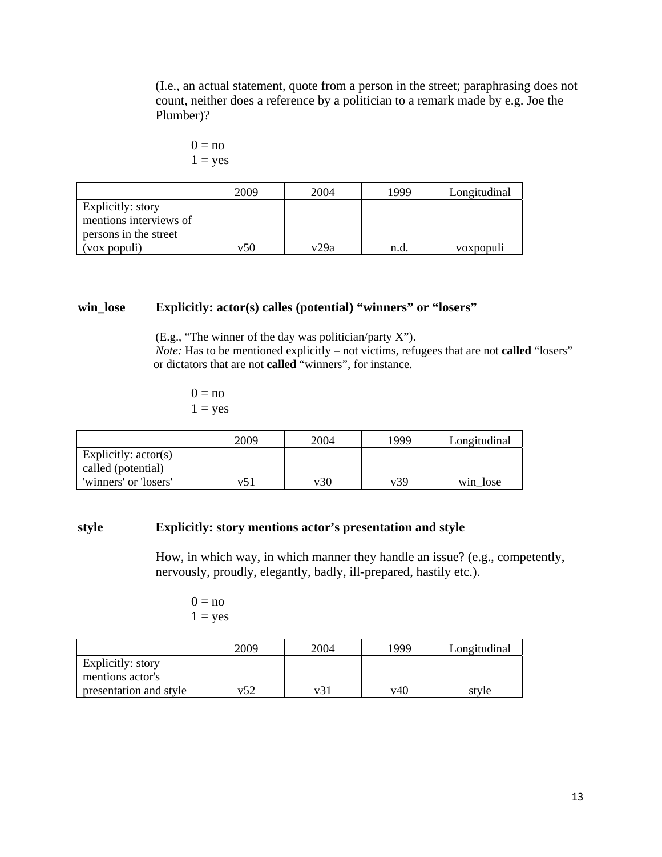(I.e., an actual statement, quote from a person in the street; paraphrasing does not count, neither does a reference by a politician to a remark made by e.g. Joe the Plumber)?

$$
0 = no
$$
  

$$
1 = yes
$$

|                        | 2009 | 2004 | 1999 | Longitudinal |
|------------------------|------|------|------|--------------|
| Explicitly: story      |      |      |      |              |
| mentions interviews of |      |      |      |              |
| persons in the street  |      |      |      |              |
| (vox populi)           | v50  | v29a | n.a  | voxpopuli    |

# **win\_lose Explicitly: actor(s) calles (potential) "winners" or "losers"**

(E.g., "The winner of the day was politician/party X"). *Note:* Has to be mentioned explicitly – not victims, refugees that are not **called** "losers" or dictators that are not **called** "winners", for instance.

 $0 = no$  $1 = yes$ 

|                                              | 2009 | 2004 | 1999 | Longitudinal |
|----------------------------------------------|------|------|------|--------------|
| Explicitly: $actor(s)$<br>called (potential) |      |      |      |              |
| 'winners' or 'losers'                        | v51  | v30  | v39  | win lose     |

# **style Explicitly: story mentions actor's presentation and style**

How, in which way, in which manner they handle an issue? (e.g., competently, nervously, proudly, elegantly, badly, ill-prepared, hastily etc.).

 $0 = no$  $1 = yes$ 

|                        | 2009 | 2004 | 1999 | Longitudinal |
|------------------------|------|------|------|--------------|
| Explicitly: story      |      |      |      |              |
| mentions actor's       |      |      |      |              |
| presentation and style | v52  | v31  | v40  | style        |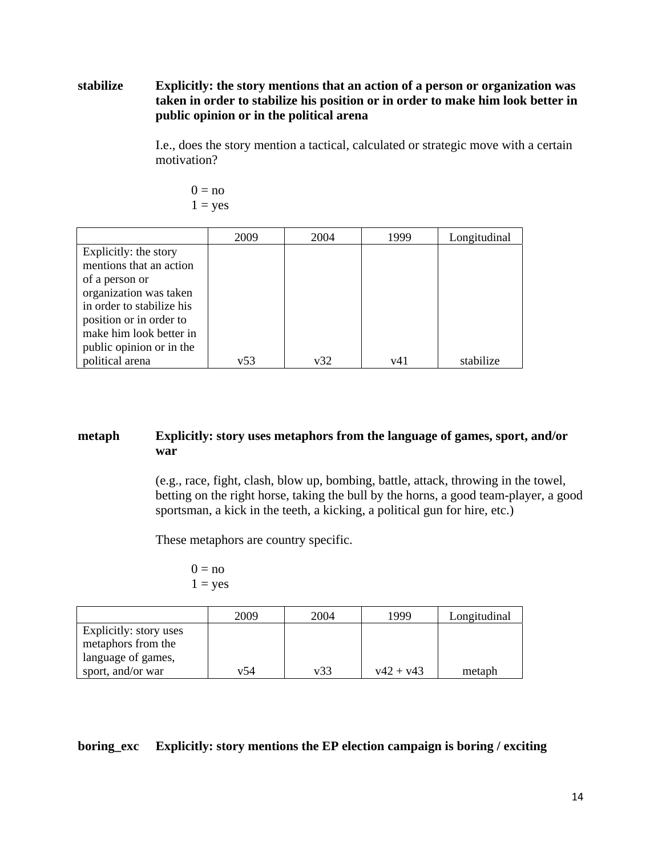# **stabilize Explicitly: the story mentions that an action of a person or organization was taken in order to stabilize his position or in order to make him look better in public opinion or in the political arena**

I.e., does the story mention a tactical, calculated or strategic move with a certain motivation?

$$
0 = no
$$
  

$$
1 = yes
$$

|                           | 2009 | 2004 | 1999 | Longitudinal |
|---------------------------|------|------|------|--------------|
| Explicitly: the story     |      |      |      |              |
| mentions that an action   |      |      |      |              |
| of a person or            |      |      |      |              |
| organization was taken    |      |      |      |              |
| in order to stabilize his |      |      |      |              |
| position or in order to   |      |      |      |              |
| make him look better in   |      |      |      |              |
| public opinion or in the  |      |      |      |              |
| political arena           | v53  | v32  | v41  | stabilize    |

# **metaph Explicitly: story uses metaphors from the language of games, sport, and/or war**

(e.g., race, fight, clash, blow up, bombing, battle, attack, throwing in the towel, betting on the right horse, taking the bull by the horns, a good team-player, a good sportsman, a kick in the teeth, a kicking, a political gun for hire, etc.)

These metaphors are country specific.

 $0 = no$  $1 = yes$ 

|                        | 2009 | 2004 | 1999        | Longitudinal |
|------------------------|------|------|-------------|--------------|
| Explicitly: story uses |      |      |             |              |
| metaphors from the     |      |      |             |              |
| language of games,     |      |      |             |              |
| sport, and/or war      | v54  | v33  | $v42 + v43$ | metaph       |

## **boring\_exc Explicitly: story mentions the EP election campaign is boring / exciting**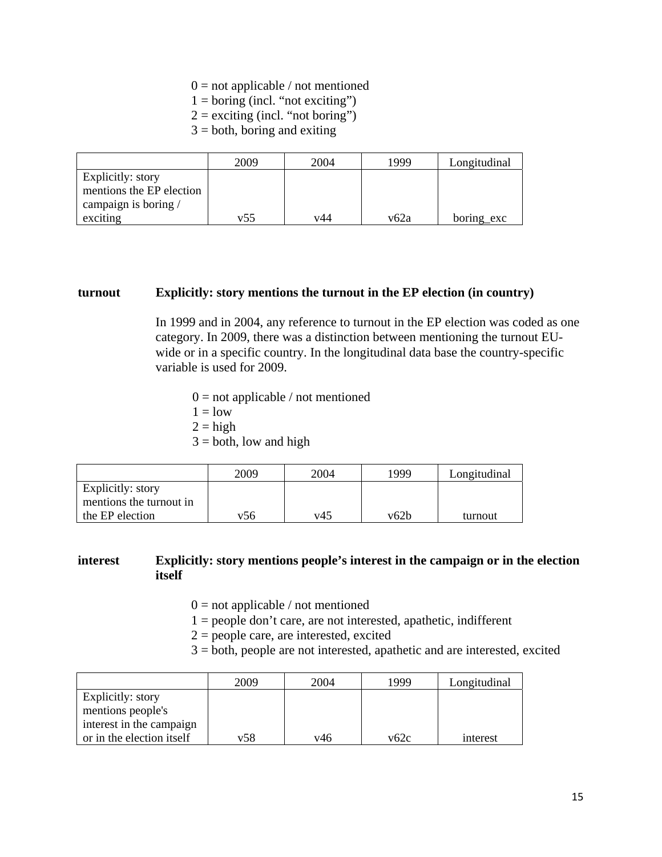#### $0 =$  not applicable / not mentioned

- $1 =$  boring (incl. "not exciting")
- $2 =$  exciting (incl. "not boring")
- $3 =$  both, boring and exiting

|                                               | 2009 | 2004 | 1999 | Longitudinal |
|-----------------------------------------------|------|------|------|--------------|
| Explicitly: story<br>mentions the EP election |      |      |      |              |
| campaign is boring /                          |      |      |      |              |
| exciting                                      | v55  | v44  | v62a | boring exc   |

#### **turnout Explicitly: story mentions the turnout in the EP election (in country)**

In 1999 and in 2004, any reference to turnout in the EP election was coded as one category. In 2009, there was a distinction between mentioning the turnout EUwide or in a specific country. In the longitudinal data base the country-specific variable is used for 2009.

- $0 =$  not applicable / not mentioned
- $1 =$ low
- $2 = high$
- $3 =$  both, low and high

|                                              | 2009 | 2004 | 1999. | Longitudinal |
|----------------------------------------------|------|------|-------|--------------|
| Explicitly: story<br>mentions the turnout in |      |      |       |              |
| the EP election                              | v56  | v45  | v62b  | turnout      |

#### **interest Explicitly: story mentions people's interest in the campaign or in the election itself**

- $0 =$  not applicable / not mentioned
- 1 = people don't care, are not interested, apathetic, indifferent
- $2 =$  people care, are interested, excited
- 3 = both, people are not interested, apathetic and are interested, excited

|                           | 2009 | 2004 | 1999 | Longitudinal |
|---------------------------|------|------|------|--------------|
| Explicitly: story         |      |      |      |              |
| mentions people's         |      |      |      |              |
| interest in the campaign  |      |      |      |              |
| or in the election itself | v58  | v46  | v62c | interest     |